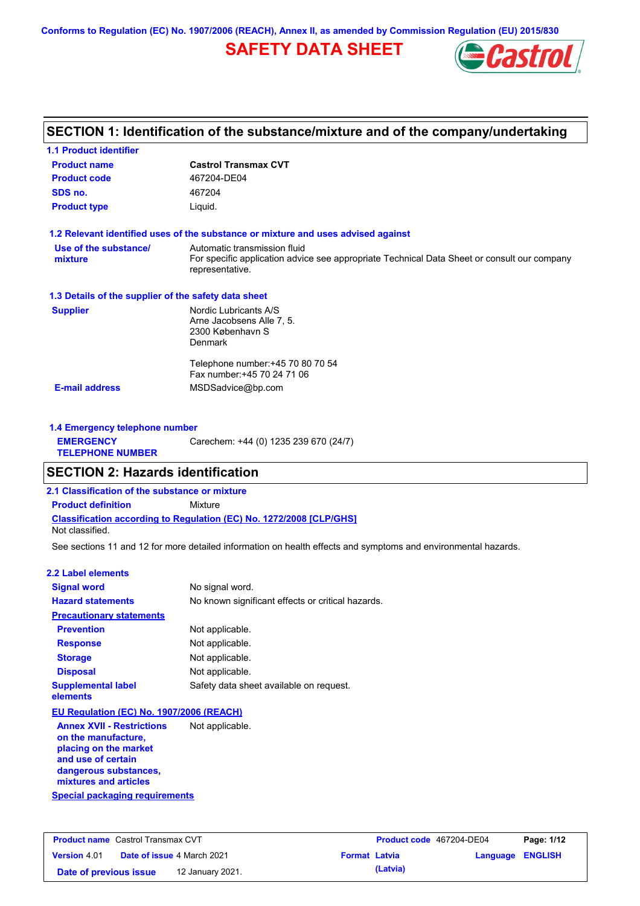**Conforms to Regulation (EC) No. 1907/2006 (REACH), Annex II, as amended by Commission Regulation (EU) 2015/830**

## **SAFETY DATA SHEET**



## **SECTION 1: Identification of the substance/mixture and of the company/undertaking**

| <b>Product name</b>                                  | <b>Castrol Transmax CVT</b>                                                                                                                    |
|------------------------------------------------------|------------------------------------------------------------------------------------------------------------------------------------------------|
| <b>Product code</b>                                  | 467204-DE04                                                                                                                                    |
| SDS no.                                              | 467204                                                                                                                                         |
| <b>Product type</b>                                  | Liquid.                                                                                                                                        |
|                                                      | 1.2 Relevant identified uses of the substance or mixture and uses advised against                                                              |
| Use of the substance/<br>mixture                     | Automatic transmission fluid<br>For specific application advice see appropriate Technical Data Sheet or consult our company<br>representative. |
| 1.3 Details of the supplier of the safety data sheet |                                                                                                                                                |
| <b>Supplier</b>                                      | Nordic Lubricants A/S<br>Arne Jacobsens Alle 7, 5.<br>2300 København S<br><b>Denmark</b>                                                       |
|                                                      | Telephone number: +45 70 80 70 54<br>Fax number: +45 70 24 71 06                                                                               |
| <b>E-mail address</b>                                | MSDSadvice@bp.com                                                                                                                              |

| 1.4 Emergency telephone number              |                                       |
|---------------------------------------------|---------------------------------------|
| <b>EMERGENCY</b><br><b>TELEPHONE NUMBER</b> | Carechem: +44 (0) 1235 239 670 (24/7) |

## **SECTION 2: Hazards identification**

**2.1 Classification of the substance or mixture**

**Classification according to Regulation (EC) No. 1272/2008 [CLP/GHS] Product definition** Mixture

Not classified.

See sections 11 and 12 for more detailed information on health effects and symptoms and environmental hazards.

### **2.2 Label elements**

| <b>Signal word</b>                                                               | No signal word.                                   |
|----------------------------------------------------------------------------------|---------------------------------------------------|
| <b>Hazard statements</b>                                                         | No known significant effects or critical hazards. |
| <b>Precautionary statements</b>                                                  |                                                   |
| <b>Prevention</b>                                                                | Not applicable.                                   |
| <b>Response</b>                                                                  | Not applicable.                                   |
| <b>Storage</b>                                                                   | Not applicable.                                   |
| <b>Disposal</b>                                                                  | Not applicable.                                   |
| <b>Supplemental label</b><br>elements                                            | Safety data sheet available on request.           |
| EU Regulation (EC) No. 1907/2006 (REACH)                                         |                                                   |
| <b>Annex XVII - Restrictions</b><br>on the manufacture,<br>nlaging an tha market | Not applicable.                                   |

**Special packaging requirements placing on the market and use of certain dangerous substances, mixtures and articles**

| <b>Product name</b> Castrol Transmax CVT |  |                                   | Product code 467204-DE04 |          | Page: 1/12              |  |
|------------------------------------------|--|-----------------------------------|--------------------------|----------|-------------------------|--|
| <b>Version 4.01</b>                      |  | <b>Date of issue 4 March 2021</b> | <b>Format Latvia</b>     |          | <b>Language ENGLISH</b> |  |
| Date of previous issue                   |  | 12 January 2021.                  |                          | (Latvia) |                         |  |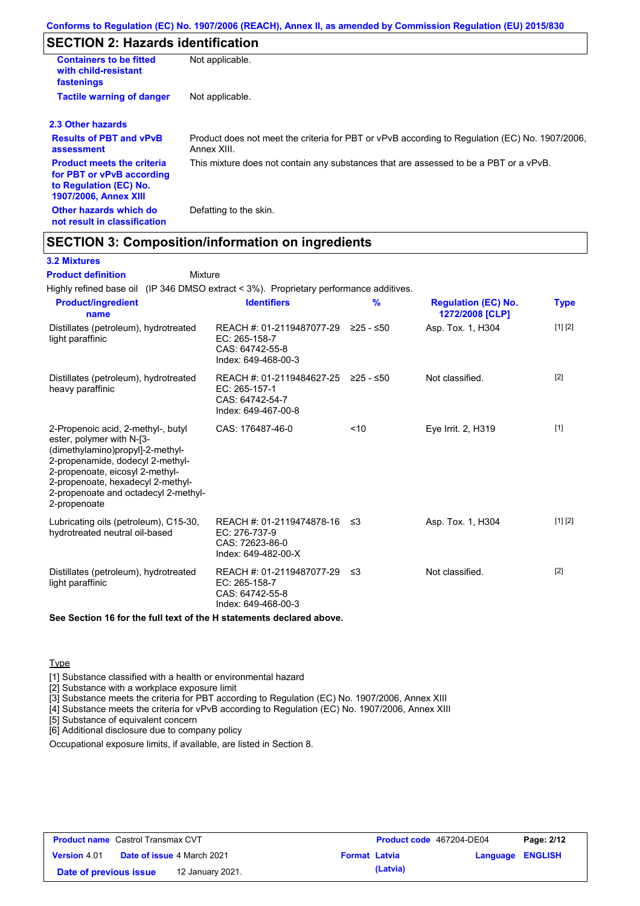## **SECTION 2: Hazards identification**

| <b>Containers to be fitted</b><br>with child-resistant<br>fastenings                                                     | Not applicable.                                                                                               |
|--------------------------------------------------------------------------------------------------------------------------|---------------------------------------------------------------------------------------------------------------|
| <b>Tactile warning of danger</b>                                                                                         | Not applicable.                                                                                               |
| 2.3 Other hazards                                                                                                        |                                                                                                               |
| <b>Results of PBT and vPvB</b><br>assessment                                                                             | Product does not meet the criteria for PBT or vPvB according to Regulation (EC) No. 1907/2006,<br>Annex XIII. |
| <b>Product meets the criteria</b><br>for PBT or vPvB according<br>to Regulation (EC) No.<br><b>1907/2006, Annex XIII</b> | This mixture does not contain any substances that are assessed to be a PBT or a vPvB.                         |
| Other hazards which do<br>not result in classification                                                                   | Defatting to the skin.                                                                                        |

## **SECTION 3: Composition/information on ingredients**

Mixture

### **3.2 Mixtures**

**Product definition**

Highly refined base oil (IP 346 DMSO extract < 3%). Proprietary performance additives.

| <b>Product/ingredient</b><br>name                                                                                                                                                                                                                                       | <b>Identifiers</b>                                                                               | $\frac{9}{6}$ | <b>Regulation (EC) No.</b><br>1272/2008 [CLP] | Type              |
|-------------------------------------------------------------------------------------------------------------------------------------------------------------------------------------------------------------------------------------------------------------------------|--------------------------------------------------------------------------------------------------|---------------|-----------------------------------------------|-------------------|
| Distillates (petroleum), hydrotreated<br>light paraffinic                                                                                                                                                                                                               | REACH #: 01-2119487077-29<br>$EC: 265-158-7$<br>CAS: 64742-55-8<br>Index: 649-468-00-3           | ≥25 - ≤50     | Asp. Tox. 1, H304                             | [1] [2]           |
| Distillates (petroleum), hydrotreated<br>heavy paraffinic                                                                                                                                                                                                               | REACH #: 01-2119484627-25 ≥25 - ≤50<br>$EC: 265-157-1$<br>CAS: 64742-54-7<br>Index: 649-467-00-8 |               | Not classified.                               | $\lceil 2 \rceil$ |
| 2-Propenoic acid, 2-methyl-, butyl<br>ester, polymer with N-[3-<br>(dimethylamino)propyl]-2-methyl-<br>2-propenamide, dodecyl 2-methyl-<br>2-propenoate, eicosyl 2-methyl-<br>2-propenoate, hexadecyl 2-methyl-<br>2-propenoate and octadecyl 2-methyl-<br>2-propenoate | CAS: 176487-46-0                                                                                 | < 10          | Eye Irrit. 2, H319                            | $[1]$             |
| Lubricating oils (petroleum), C15-30,<br>hydrotreated neutral oil-based                                                                                                                                                                                                 | REACH #: 01-2119474878-16<br>EC: 276-737-9<br>CAS: 72623-86-0<br>Index: 649-482-00-X             | ב≥            | Asp. Tox. 1, H304                             | [1] [2]           |
| Distillates (petroleum), hydrotreated<br>light paraffinic                                                                                                                                                                                                               | REACH #: 01-2119487077-29 ≤3<br>EC: 265-158-7<br>CAS: 64742-55-8<br>Index: 649-468-00-3          |               | Not classified.                               | [2]               |

**See Section 16 for the full text of the H statements declared above.**

### **Type**

[1] Substance classified with a health or environmental hazard

[2] Substance with a workplace exposure limit

[3] Substance meets the criteria for PBT according to Regulation (EC) No. 1907/2006, Annex XIII

[4] Substance meets the criteria for vPvB according to Regulation (EC) No. 1907/2006, Annex XIII

[5] Substance of equivalent concern

[6] Additional disclosure due to company policy

Occupational exposure limits, if available, are listed in Section 8.

| <b>Product name</b> Castrol Transmax CVT |  |                                   |                      | <b>Product code</b> 467204-DE04 |                         | Page: 2/12 |
|------------------------------------------|--|-----------------------------------|----------------------|---------------------------------|-------------------------|------------|
| <b>Version 4.01</b>                      |  | <b>Date of issue 4 March 2021</b> | <b>Format Latvia</b> |                                 | <b>Language ENGLISH</b> |            |
| Date of previous issue                   |  | 12 January 2021.                  |                      | (Latvia)                        |                         |            |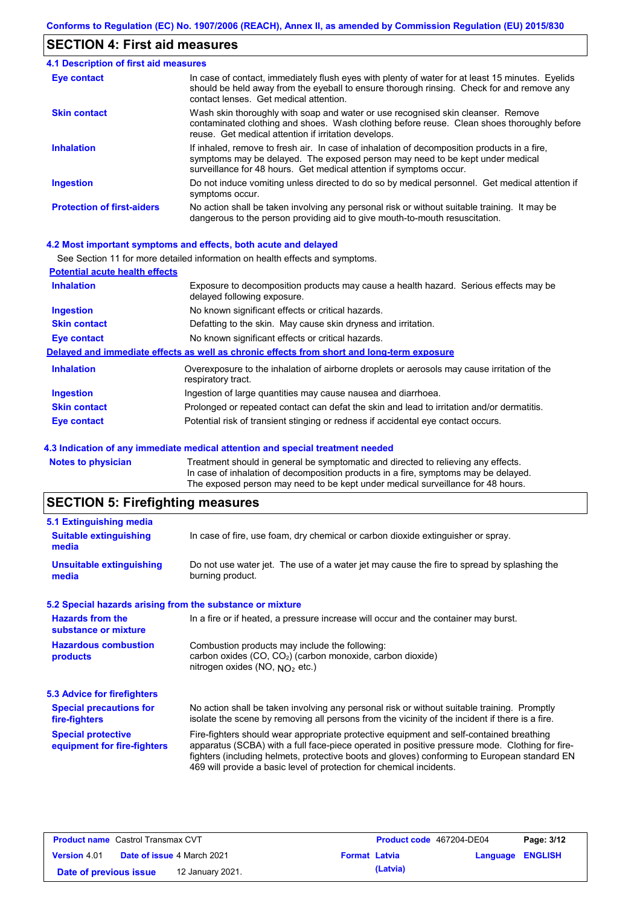### **SECTION 4: First aid measures**

#### Do not induce vomiting unless directed to do so by medical personnel. Get medical attention if symptoms occur. In case of contact, immediately flush eyes with plenty of water for at least 15 minutes. Eyelids should be held away from the eyeball to ensure thorough rinsing. Check for and remove any contact lenses. Get medical attention. **4.1 Description of first aid measures** If inhaled, remove to fresh air. In case of inhalation of decomposition products in a fire, symptoms may be delayed. The exposed person may need to be kept under medical surveillance for 48 hours. Get medical attention if symptoms occur. **Ingestion Inhalation Eye contact Protection of first-aiders** No action shall be taken involving any personal risk or without suitable training. It may be dangerous to the person providing aid to give mouth-to-mouth resuscitation. **Skin contact** Wash skin thoroughly with soap and water or use recognised skin cleanser. Remove contaminated clothing and shoes. Wash clothing before reuse. Clean shoes thoroughly before reuse. Get medical attention if irritation develops.

### **4.2 Most important symptoms and effects, both acute and delayed**

|                                       | See Section 11 for more detailed information on health effects and symptoms.                                        |
|---------------------------------------|---------------------------------------------------------------------------------------------------------------------|
| <b>Potential acute health effects</b> |                                                                                                                     |
| <b>Inhalation</b>                     | Exposure to decomposition products may cause a health hazard. Serious effects may be<br>delayed following exposure. |
| <b>Ingestion</b>                      | No known significant effects or critical hazards.                                                                   |
| <b>Skin contact</b>                   | Defatting to the skin. May cause skin dryness and irritation.                                                       |
| Eye contact                           | No known significant effects or critical hazards.                                                                   |
|                                       | Delayed and immediate effects as well as chronic effects from short and long-term exposure                          |
| <b>Inhalation</b>                     | Overexposure to the inhalation of airborne droplets or aerosols may cause irritation of the<br>respiratory tract.   |
| <b>Ingestion</b>                      | Ingestion of large quantities may cause nausea and diarrhoea.                                                       |
| <b>Skin contact</b>                   | Prolonged or repeated contact can defat the skin and lead to irritation and/or dermatitis.                          |
| Eye contact                           | Potential risk of transient stinging or redness if accidental eye contact occurs.                                   |

### **4.3 Indication of any immediate medical attention and special treatment needed**

| Notes to physician | Treatment should in general be symptomatic and directed to relieving any effects.   |
|--------------------|-------------------------------------------------------------------------------------|
|                    | In case of inhalation of decomposition products in a fire, symptoms may be delayed. |
|                    | The exposed person may need to be kept under medical surveillance for 48 hours.     |
|                    |                                                                                     |

## **SECTION 5: Firefighting measures**

| 5.1 Extinguishing media                                   |                                                                                                                                                                                                                                                                                                                                                                   |
|-----------------------------------------------------------|-------------------------------------------------------------------------------------------------------------------------------------------------------------------------------------------------------------------------------------------------------------------------------------------------------------------------------------------------------------------|
| <b>Suitable extinguishing</b><br>media                    | In case of fire, use foam, dry chemical or carbon dioxide extinguisher or spray.                                                                                                                                                                                                                                                                                  |
| <b>Unsuitable extinguishing</b><br>media                  | Do not use water jet. The use of a water jet may cause the fire to spread by splashing the<br>burning product.                                                                                                                                                                                                                                                    |
| 5.2 Special hazards arising from the substance or mixture |                                                                                                                                                                                                                                                                                                                                                                   |
| <b>Hazards from the</b><br>substance or mixture           | In a fire or if heated, a pressure increase will occur and the container may burst.                                                                                                                                                                                                                                                                               |
| <b>Hazardous combustion</b><br>products                   | Combustion products may include the following:<br>carbon oxides (CO, CO <sub>2</sub> ) (carbon monoxide, carbon dioxide)<br>nitrogen oxides (NO, $NO2$ etc.)                                                                                                                                                                                                      |
| <b>5.3 Advice for firefighters</b>                        |                                                                                                                                                                                                                                                                                                                                                                   |
| <b>Special precautions for</b><br>fire-fighters           | No action shall be taken involving any personal risk or without suitable training. Promptly<br>isolate the scene by removing all persons from the vicinity of the incident if there is a fire.                                                                                                                                                                    |
| <b>Special protective</b><br>equipment for fire-fighters  | Fire-fighters should wear appropriate protective equipment and self-contained breathing<br>apparatus (SCBA) with a full face-piece operated in positive pressure mode. Clothing for fire-<br>fighters (including helmets, protective boots and gloves) conforming to European standard EN<br>469 will provide a basic level of protection for chemical incidents. |
|                                                           |                                                                                                                                                                                                                                                                                                                                                                   |

| <b>Product name</b> Castrol Transmax CVT |  |                                   |                      | <b>Product code</b> 467204-DE04 | Page: 3/12       |  |
|------------------------------------------|--|-----------------------------------|----------------------|---------------------------------|------------------|--|
| <b>Version 4.01</b>                      |  | <b>Date of issue 4 March 2021</b> | <b>Format Latvia</b> |                                 | Language ENGLISH |  |
| Date of previous issue                   |  | 12 January 2021.                  |                      | (Latvia)                        |                  |  |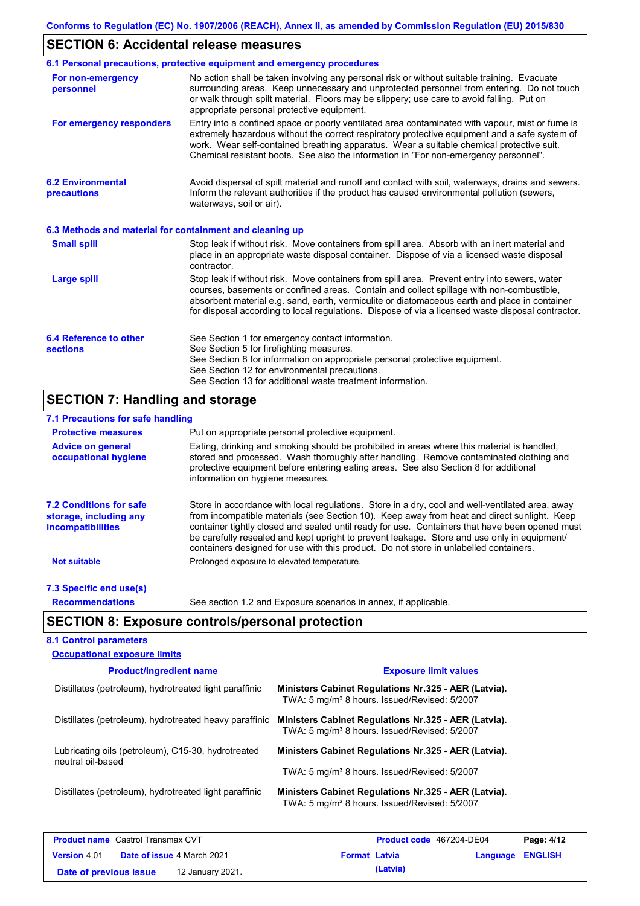## **SECTION 6: Accidental release measures**

|                                                                                                                                                                                                                                                                                                                                                                       | 6.1 Personal precautions, protective equipment and emergency procedures                                                                                                                                                                                                                                                                                                                        |  |
|-----------------------------------------------------------------------------------------------------------------------------------------------------------------------------------------------------------------------------------------------------------------------------------------------------------------------------------------------------------------------|------------------------------------------------------------------------------------------------------------------------------------------------------------------------------------------------------------------------------------------------------------------------------------------------------------------------------------------------------------------------------------------------|--|
| No action shall be taken involving any personal risk or without suitable training. Evacuate<br>For non-emergency<br>surrounding areas. Keep unnecessary and unprotected personnel from entering. Do not touch<br>personnel<br>or walk through spilt material. Floors may be slippery; use care to avoid falling. Put on<br>appropriate personal protective equipment. |                                                                                                                                                                                                                                                                                                                                                                                                |  |
| For emergency responders                                                                                                                                                                                                                                                                                                                                              | Entry into a confined space or poorly ventilated area contaminated with vapour, mist or fume is<br>extremely hazardous without the correct respiratory protective equipment and a safe system of<br>work. Wear self-contained breathing apparatus. Wear a suitable chemical protective suit.<br>Chemical resistant boots. See also the information in "For non-emergency personnel".           |  |
| <b>6.2 Environmental</b><br>precautions                                                                                                                                                                                                                                                                                                                               | Avoid dispersal of spilt material and runoff and contact with soil, waterways, drains and sewers.<br>Inform the relevant authorities if the product has caused environmental pollution (sewers,<br>waterways, soil or air).                                                                                                                                                                    |  |
| 6.3 Methods and material for containment and cleaning up                                                                                                                                                                                                                                                                                                              |                                                                                                                                                                                                                                                                                                                                                                                                |  |
| <b>Small spill</b>                                                                                                                                                                                                                                                                                                                                                    | Stop leak if without risk. Move containers from spill area. Absorb with an inert material and<br>place in an appropriate waste disposal container. Dispose of via a licensed waste disposal<br>contractor.                                                                                                                                                                                     |  |
| <b>Large spill</b>                                                                                                                                                                                                                                                                                                                                                    | Stop leak if without risk. Move containers from spill area. Prevent entry into sewers, water<br>courses, basements or confined areas. Contain and collect spillage with non-combustible,<br>absorbent material e.g. sand, earth, vermiculite or diatomaceous earth and place in container<br>for disposal according to local regulations. Dispose of via a licensed waste disposal contractor. |  |
| 6.4 Reference to other<br><b>sections</b>                                                                                                                                                                                                                                                                                                                             | See Section 1 for emergency contact information.<br>See Section 5 for firefighting measures.<br>See Section 8 for information on appropriate personal protective equipment.<br>See Section 12 for environmental precautions.<br>See Section 13 for additional waste treatment information.                                                                                                     |  |

## **SECTION 7: Handling and storage**

## **7.1 Precautions for safe handling**

| <b>Protective measures</b>                                                           | Put on appropriate personal protective equipment.                                                                                                                                                                                                                                                                                                                                                                                                                                        |
|--------------------------------------------------------------------------------------|------------------------------------------------------------------------------------------------------------------------------------------------------------------------------------------------------------------------------------------------------------------------------------------------------------------------------------------------------------------------------------------------------------------------------------------------------------------------------------------|
| <b>Advice on general</b><br>occupational hygiene                                     | Eating, drinking and smoking should be prohibited in areas where this material is handled,<br>stored and processed. Wash thoroughly after handling. Remove contaminated clothing and<br>protective equipment before entering eating areas. See also Section 8 for additional<br>information on hygiene measures.                                                                                                                                                                         |
| <b>7.2 Conditions for safe</b><br>storage, including any<br><i>incompatibilities</i> | Store in accordance with local requiations. Store in a dry, cool and well-ventilated area, away<br>from incompatible materials (see Section 10). Keep away from heat and direct sunlight. Keep<br>container tightly closed and sealed until ready for use. Containers that have been opened must<br>be carefully resealed and kept upright to prevent leakage. Store and use only in equipment/<br>containers designed for use with this product. Do not store in unlabelled containers. |
| <b>Not suitable</b>                                                                  | Prolonged exposure to elevated temperature.                                                                                                                                                                                                                                                                                                                                                                                                                                              |
| 7.3 Specific end use(s)                                                              |                                                                                                                                                                                                                                                                                                                                                                                                                                                                                          |
| <b>Recommendations</b>                                                               | See section 1.2 and Exposure scenarios in annex, if applicable.                                                                                                                                                                                                                                                                                                                                                                                                                          |

## **SECTION 8: Exposure controls/personal protection**

**Date of previous issue (Latvia)** 12 January 2021.

### **8.1 Control parameters**

| <b>Occupational exposure limits</b>                                     |                                                                                                                  |                |
|-------------------------------------------------------------------------|------------------------------------------------------------------------------------------------------------------|----------------|
| <b>Product/ingredient name</b>                                          | <b>Exposure limit values</b>                                                                                     |                |
| Distillates (petroleum), hydrotreated light paraffinic                  | Ministers Cabinet Regulations Nr.325 - AER (Latvia).<br>TWA: 5 mg/m <sup>3</sup> 8 hours. Issued/Revised: 5/2007 |                |
| Distillates (petroleum), hydrotreated heavy paraffinic                  | Ministers Cabinet Regulations Nr.325 - AER (Latvia).<br>TWA: 5 mg/m <sup>3</sup> 8 hours. Issued/Revised: 5/2007 |                |
| Lubricating oils (petroleum), C15-30, hydrotreated<br>neutral oil-based | Ministers Cabinet Regulations Nr.325 - AER (Latvia).                                                             |                |
|                                                                         | TWA: 5 mg/m <sup>3</sup> 8 hours. Issued/Revised: 5/2007                                                         |                |
| Distillates (petroleum), hydrotreated light paraffinic                  | Ministers Cabinet Regulations Nr.325 - AER (Latvia).<br>TWA: 5 mg/m <sup>3</sup> 8 hours. Issued/Revised: 5/2007 |                |
| <b>Product name</b> Castrol Transmax CVT                                | <b>Product code</b> 467204-DE04                                                                                  | Page: 4/12     |
| <b>Date of issue 4 March 2021</b><br><b>Version 4.01</b>                | <b>Format Latvia</b><br>Language                                                                                 | <b>ENGLISH</b> |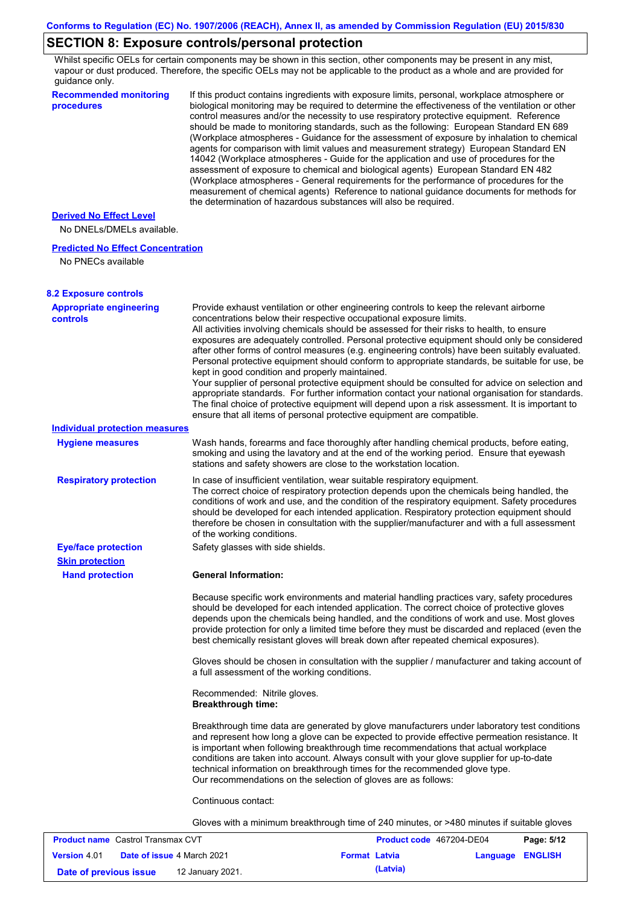## **SECTION 8: Exposure controls/personal protection**

Whilst specific OELs for certain components may be shown in this section, other components may be present in any mist, vapour or dust produced. Therefore, the specific OELs may not be applicable to the product as a whole and are provided for guidance only.

| <b>Recommended monitoring</b><br>procedures       | If this product contains ingredients with exposure limits, personal, workplace atmosphere or<br>biological monitoring may be required to determine the effectiveness of the ventilation or other<br>control measures and/or the necessity to use respiratory protective equipment. Reference<br>should be made to monitoring standards, such as the following: European Standard EN 689<br>(Workplace atmospheres - Guidance for the assessment of exposure by inhalation to chemical<br>agents for comparison with limit values and measurement strategy) European Standard EN<br>14042 (Workplace atmospheres - Guide for the application and use of procedures for the<br>assessment of exposure to chemical and biological agents) European Standard EN 482<br>(Workplace atmospheres - General requirements for the performance of procedures for the<br>measurement of chemical agents) Reference to national guidance documents for methods for<br>the determination of hazardous substances will also be required. |
|---------------------------------------------------|----------------------------------------------------------------------------------------------------------------------------------------------------------------------------------------------------------------------------------------------------------------------------------------------------------------------------------------------------------------------------------------------------------------------------------------------------------------------------------------------------------------------------------------------------------------------------------------------------------------------------------------------------------------------------------------------------------------------------------------------------------------------------------------------------------------------------------------------------------------------------------------------------------------------------------------------------------------------------------------------------------------------------|
| <b>Derived No Effect Level</b>                    |                                                                                                                                                                                                                                                                                                                                                                                                                                                                                                                                                                                                                                                                                                                                                                                                                                                                                                                                                                                                                            |
| No DNELs/DMELs available.                         |                                                                                                                                                                                                                                                                                                                                                                                                                                                                                                                                                                                                                                                                                                                                                                                                                                                                                                                                                                                                                            |
| <b>Predicted No Effect Concentration</b>          |                                                                                                                                                                                                                                                                                                                                                                                                                                                                                                                                                                                                                                                                                                                                                                                                                                                                                                                                                                                                                            |
| No PNECs available                                |                                                                                                                                                                                                                                                                                                                                                                                                                                                                                                                                                                                                                                                                                                                                                                                                                                                                                                                                                                                                                            |
| <b>8.2 Exposure controls</b>                      |                                                                                                                                                                                                                                                                                                                                                                                                                                                                                                                                                                                                                                                                                                                                                                                                                                                                                                                                                                                                                            |
| <b>Appropriate engineering</b><br><b>controls</b> | Provide exhaust ventilation or other engineering controls to keep the relevant airborne<br>concentrations below their respective occupational exposure limits.<br>All activities involving chemicals should be assessed for their risks to health, to ensure<br>exposures are adequately controlled. Personal protective equipment should only be considered<br>after other forms of control measures (e.g. engineering controls) have been suitably evaluated.<br>Personal protective equipment should conform to appropriate standards, be suitable for use, be<br>kept in good condition and properly maintained.<br>Your supplier of personal protective equipment should be consulted for advice on selection and<br>appropriate standards. For further information contact your national organisation for standards.<br>The final choice of protective equipment will depend upon a risk assessment. It is important to<br>ensure that all items of personal protective equipment are compatible.                    |
| <b>Individual protection measures</b>             |                                                                                                                                                                                                                                                                                                                                                                                                                                                                                                                                                                                                                                                                                                                                                                                                                                                                                                                                                                                                                            |
| <b>Hygiene measures</b>                           | Wash hands, forearms and face thoroughly after handling chemical products, before eating,<br>smoking and using the lavatory and at the end of the working period. Ensure that eyewash<br>stations and safety showers are close to the workstation location.                                                                                                                                                                                                                                                                                                                                                                                                                                                                                                                                                                                                                                                                                                                                                                |
| <b>Respiratory protection</b>                     | In case of insufficient ventilation, wear suitable respiratory equipment.<br>The correct choice of respiratory protection depends upon the chemicals being handled, the<br>conditions of work and use, and the condition of the respiratory equipment. Safety procedures<br>should be developed for each intended application. Respiratory protection equipment should<br>therefore be chosen in consultation with the supplier/manufacturer and with a full assessment<br>of the working conditions.                                                                                                                                                                                                                                                                                                                                                                                                                                                                                                                      |
| <b>Eye/face protection</b>                        | Safety glasses with side shields.                                                                                                                                                                                                                                                                                                                                                                                                                                                                                                                                                                                                                                                                                                                                                                                                                                                                                                                                                                                          |
| <b>Skin protection</b>                            |                                                                                                                                                                                                                                                                                                                                                                                                                                                                                                                                                                                                                                                                                                                                                                                                                                                                                                                                                                                                                            |
| <b>Hand protection</b>                            | <b>General Information:</b>                                                                                                                                                                                                                                                                                                                                                                                                                                                                                                                                                                                                                                                                                                                                                                                                                                                                                                                                                                                                |
|                                                   | Because specific work environments and material handling practices vary, safety procedures<br>should be developed for each intended application. The correct choice of protective gloves<br>depends upon the chemicals being handled, and the conditions of work and use. Most gloves<br>provide protection for only a limited time before they must be discarded and replaced (even the<br>best chemically resistant gloves will break down after repeated chemical exposures).                                                                                                                                                                                                                                                                                                                                                                                                                                                                                                                                           |
|                                                   | Gloves should be chosen in consultation with the supplier / manufacturer and taking account of<br>a full assessment of the working conditions.                                                                                                                                                                                                                                                                                                                                                                                                                                                                                                                                                                                                                                                                                                                                                                                                                                                                             |
|                                                   | Recommended: Nitrile gloves.<br><b>Breakthrough time:</b>                                                                                                                                                                                                                                                                                                                                                                                                                                                                                                                                                                                                                                                                                                                                                                                                                                                                                                                                                                  |
|                                                   | Breakthrough time data are generated by glove manufacturers under laboratory test conditions<br>and represent how long a glove can be expected to provide effective permeation resistance. It<br>is important when following breakthrough time recommendations that actual workplace<br>conditions are taken into account. Always consult with your glove supplier for up-to-date<br>technical information on breakthrough times for the recommended glove type.<br>Our recommendations on the selection of gloves are as follows:                                                                                                                                                                                                                                                                                                                                                                                                                                                                                         |
|                                                   | Continuous contact:                                                                                                                                                                                                                                                                                                                                                                                                                                                                                                                                                                                                                                                                                                                                                                                                                                                                                                                                                                                                        |
|                                                   | Gloves with a minimum breakthrough time of 240 minutes, or >480 minutes if suitable gloves                                                                                                                                                                                                                                                                                                                                                                                                                                                                                                                                                                                                                                                                                                                                                                                                                                                                                                                                 |
| <b>Product name</b> Castrol Transmay CVT          | Panc: 5/12<br><b>Product code</b> 467204-DE04                                                                                                                                                                                                                                                                                                                                                                                                                                                                                                                                                                                                                                                                                                                                                                                                                                                                                                                                                                              |

| <b>Product name</b> Castrol Transmax CVT |  |                                   |                      | Product code 467204-DE04 | Page: 5/12       |  |
|------------------------------------------|--|-----------------------------------|----------------------|--------------------------|------------------|--|
| <b>Version 4.01</b>                      |  | <b>Date of issue 4 March 2021</b> | <b>Format Latvia</b> |                          | Language ENGLISH |  |
| Date of previous issue                   |  | 12 January 2021.                  |                      | (Latvia)                 |                  |  |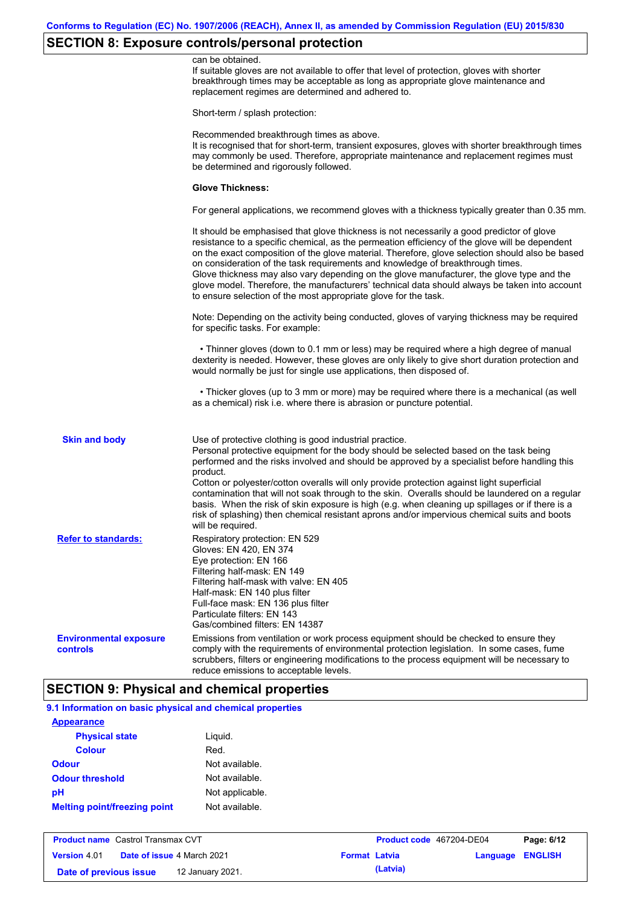## **SECTION 8: Exposure controls/personal protection**

|                                           | can be obtained.<br>If suitable gloves are not available to offer that level of protection, gloves with shorter<br>breakthrough times may be acceptable as long as appropriate glove maintenance and<br>replacement regimes are determined and adhered to.                                                                                                                                                                                                                                                                                                                                                                                                       |
|-------------------------------------------|------------------------------------------------------------------------------------------------------------------------------------------------------------------------------------------------------------------------------------------------------------------------------------------------------------------------------------------------------------------------------------------------------------------------------------------------------------------------------------------------------------------------------------------------------------------------------------------------------------------------------------------------------------------|
|                                           | Short-term / splash protection:                                                                                                                                                                                                                                                                                                                                                                                                                                                                                                                                                                                                                                  |
|                                           | Recommended breakthrough times as above.<br>It is recognised that for short-term, transient exposures, gloves with shorter breakthrough times<br>may commonly be used. Therefore, appropriate maintenance and replacement regimes must<br>be determined and rigorously followed.                                                                                                                                                                                                                                                                                                                                                                                 |
|                                           | <b>Glove Thickness:</b>                                                                                                                                                                                                                                                                                                                                                                                                                                                                                                                                                                                                                                          |
|                                           | For general applications, we recommend gloves with a thickness typically greater than 0.35 mm.                                                                                                                                                                                                                                                                                                                                                                                                                                                                                                                                                                   |
|                                           | It should be emphasised that glove thickness is not necessarily a good predictor of glove<br>resistance to a specific chemical, as the permeation efficiency of the glove will be dependent<br>on the exact composition of the glove material. Therefore, glove selection should also be based<br>on consideration of the task requirements and knowledge of breakthrough times.<br>Glove thickness may also vary depending on the glove manufacturer, the glove type and the<br>glove model. Therefore, the manufacturers' technical data should always be taken into account<br>to ensure selection of the most appropriate glove for the task.                |
|                                           | Note: Depending on the activity being conducted, gloves of varying thickness may be required<br>for specific tasks. For example:                                                                                                                                                                                                                                                                                                                                                                                                                                                                                                                                 |
|                                           | • Thinner gloves (down to 0.1 mm or less) may be required where a high degree of manual<br>dexterity is needed. However, these gloves are only likely to give short duration protection and<br>would normally be just for single use applications, then disposed of.                                                                                                                                                                                                                                                                                                                                                                                             |
|                                           | • Thicker gloves (up to 3 mm or more) may be required where there is a mechanical (as well<br>as a chemical) risk i.e. where there is abrasion or puncture potential.                                                                                                                                                                                                                                                                                                                                                                                                                                                                                            |
| <b>Skin and body</b>                      | Use of protective clothing is good industrial practice.<br>Personal protective equipment for the body should be selected based on the task being<br>performed and the risks involved and should be approved by a specialist before handling this<br>product.<br>Cotton or polyester/cotton overalls will only provide protection against light superficial<br>contamination that will not soak through to the skin. Overalls should be laundered on a regular<br>basis. When the risk of skin exposure is high (e.g. when cleaning up spillages or if there is a<br>risk of splashing) then chemical resistant aprons and/or impervious chemical suits and boots |
| <b>Refer to standards:</b>                | will be required.<br>Respiratory protection: EN 529<br>Gloves: EN 420, EN 374<br>Eye protection: EN 166<br>Filtering half-mask: EN 149<br>Filtering half-mask with valve: EN 405<br>Half-mask: EN 140 plus filter<br>Full-face mask: EN 136 plus filter<br>Particulate filters: EN 143<br>Gas/combined filters: EN 14387                                                                                                                                                                                                                                                                                                                                         |
| <b>Environmental exposure</b><br>controls | Emissions from ventilation or work process equipment should be checked to ensure they<br>comply with the requirements of environmental protection legislation. In some cases, fume<br>scrubbers, filters or engineering modifications to the process equipment will be necessary to<br>reduce emissions to acceptable levels.                                                                                                                                                                                                                                                                                                                                    |

### **SECTION 9: Physical and chemical properties**

| <b>Appearance</b>                   |                 |  |
|-------------------------------------|-----------------|--|
| <b>Physical state</b>               | Liquid.         |  |
| <b>Colour</b>                       | Red.            |  |
| <b>Odour</b>                        | Not available.  |  |
| <b>Odour threshold</b>              | Not available.  |  |
| pH                                  | Not applicable. |  |
| <b>Melting point/freezing point</b> | Not available.  |  |

| <b>Product name</b> Castrol Transmax CVT |  | <b>Product code</b> 467204-DE04   |                      | Page: 6/12 |                  |  |
|------------------------------------------|--|-----------------------------------|----------------------|------------|------------------|--|
| <b>Version 4.01</b>                      |  | <b>Date of issue 4 March 2021</b> | <b>Format Latvia</b> |            | Language ENGLISH |  |
| Date of previous issue                   |  | 12 January 2021.                  |                      | (Latvia)   |                  |  |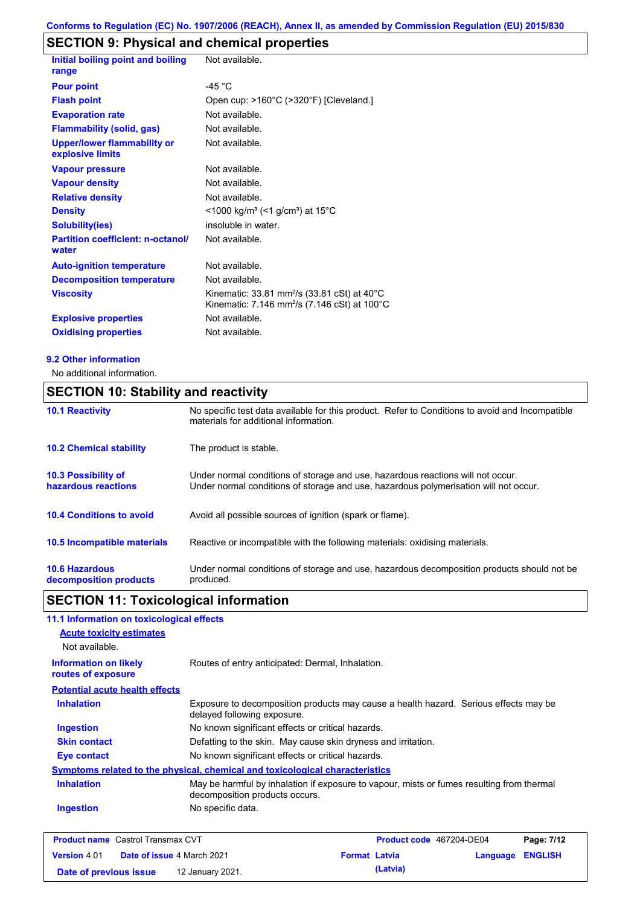## **SECTION 9: Physical and chemical properties**

| Initial boiling point and boiling                      | Not available.                                                                                                                           |
|--------------------------------------------------------|------------------------------------------------------------------------------------------------------------------------------------------|
| range                                                  |                                                                                                                                          |
| <b>Pour point</b>                                      | -45 $^{\circ}$ C                                                                                                                         |
| <b>Flash point</b>                                     | Open cup: >160°C (>320°F) [Cleveland.]                                                                                                   |
| <b>Evaporation rate</b>                                | Not available.                                                                                                                           |
| <b>Flammability (solid, gas)</b>                       | Not available.                                                                                                                           |
| <b>Upper/lower flammability or</b><br>explosive limits | Not available.                                                                                                                           |
| <b>Vapour pressure</b>                                 | Not available.                                                                                                                           |
| <b>Vapour density</b>                                  | Not available.                                                                                                                           |
| <b>Relative density</b>                                | Not available.                                                                                                                           |
| <b>Density</b>                                         | <1000 kg/m <sup>3</sup> (<1 g/cm <sup>3</sup> ) at 15°C                                                                                  |
| <b>Solubility(ies)</b>                                 | insoluble in water.                                                                                                                      |
| <b>Partition coefficient: n-octanol/</b><br>water      | Not available.                                                                                                                           |
| <b>Auto-ignition temperature</b>                       | Not available.                                                                                                                           |
| <b>Decomposition temperature</b>                       | Not available.                                                                                                                           |
| <b>Viscosity</b>                                       | Kinematic: 33.81 mm <sup>2</sup> /s (33.81 cSt) at $40^{\circ}$ C<br>Kinematic: 7.146 mm <sup>2</sup> /s (7.146 cSt) at 100 $^{\circ}$ C |
| <b>Explosive properties</b>                            | Not available.                                                                                                                           |
| <b>Oxidising properties</b>                            | Not available.                                                                                                                           |

### **9.2 Other information**

No additional information.

## **SECTION 10: Stability and reactivity**

| <b>10.1 Reactivity</b>                            | No specific test data available for this product. Refer to Conditions to avoid and Incompatible<br>materials for additional information.                                |
|---------------------------------------------------|-------------------------------------------------------------------------------------------------------------------------------------------------------------------------|
| <b>10.2 Chemical stability</b>                    | The product is stable.                                                                                                                                                  |
| <b>10.3 Possibility of</b><br>hazardous reactions | Under normal conditions of storage and use, hazardous reactions will not occur.<br>Under normal conditions of storage and use, hazardous polymerisation will not occur. |
| <b>10.4 Conditions to avoid</b>                   | Avoid all possible sources of ignition (spark or flame).                                                                                                                |
| <b>10.5 Incompatible materials</b>                | Reactive or incompatible with the following materials: oxidising materials.                                                                                             |
| <b>10.6 Hazardous</b><br>decomposition products   | Under normal conditions of storage and use, hazardous decomposition products should not be<br>produced.                                                                 |

# **SECTION 11: Toxicological information**

| 11.1 Information on toxicological effects          |                                                                                                                             |
|----------------------------------------------------|-----------------------------------------------------------------------------------------------------------------------------|
| <b>Acute toxicity estimates</b>                    |                                                                                                                             |
| Not available.                                     |                                                                                                                             |
| <b>Information on likely</b><br>routes of exposure | Routes of entry anticipated: Dermal, Inhalation.                                                                            |
| <b>Potential acute health effects</b>              |                                                                                                                             |
| <b>Inhalation</b>                                  | Exposure to decomposition products may cause a health hazard. Serious effects may be<br>delayed following exposure.         |
| <b>Ingestion</b>                                   | No known significant effects or critical hazards.                                                                           |
| <b>Skin contact</b>                                | Defatting to the skin. May cause skin dryness and irritation.                                                               |
| Eye contact                                        | No known significant effects or critical hazards.                                                                           |
|                                                    | Symptoms related to the physical, chemical and toxicological characteristics                                                |
| <b>Inhalation</b>                                  | May be harmful by inhalation if exposure to vapour, mists or fumes resulting from thermal<br>decomposition products occurs. |
| <b>Ingestion</b>                                   | No specific data.                                                                                                           |
|                                                    |                                                                                                                             |

| <b>Product name</b> Castrol Transmax CVT |  | <b>Product code</b> 467204-DE04   |                      | Page: 7/12 |                  |  |
|------------------------------------------|--|-----------------------------------|----------------------|------------|------------------|--|
| <b>Version</b> 4.01                      |  | <b>Date of issue 4 March 2021</b> | <b>Format Latvia</b> |            | Language ENGLISH |  |
| Date of previous issue                   |  | 12 January 2021.                  |                      | (Latvia)   |                  |  |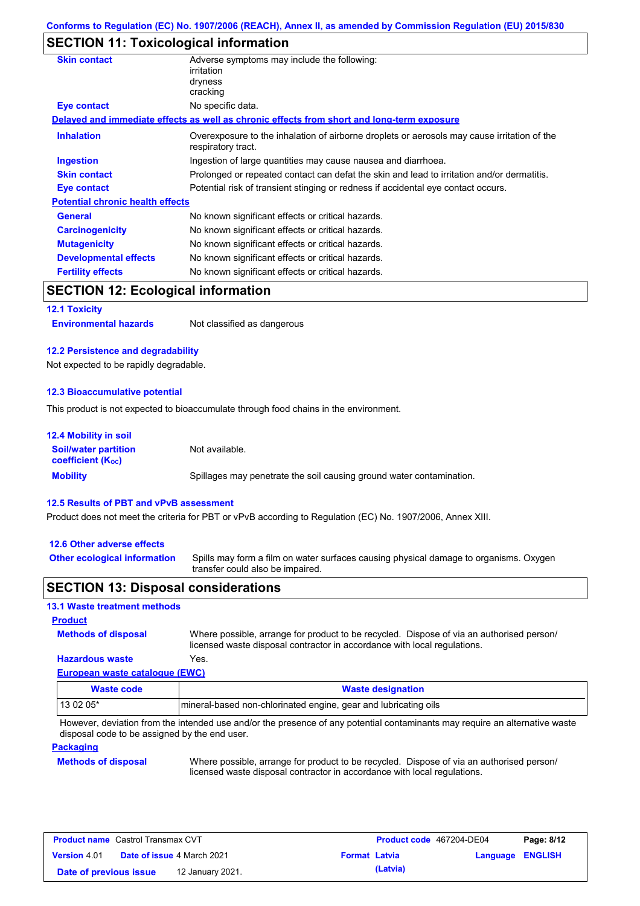## **SECTION 11: Toxicological information**

| <b>Skin contact</b>                     | Adverse symptoms may include the following:<br>irritation                                                         |  |
|-----------------------------------------|-------------------------------------------------------------------------------------------------------------------|--|
|                                         | dryness                                                                                                           |  |
|                                         | cracking                                                                                                          |  |
| Eye contact                             | No specific data.                                                                                                 |  |
|                                         | Delayed and immediate effects as well as chronic effects from short and long-term exposure                        |  |
| <b>Inhalation</b>                       | Overexposure to the inhalation of airborne droplets or aerosols may cause irritation of the<br>respiratory tract. |  |
| <b>Ingestion</b>                        | Ingestion of large quantities may cause nausea and diarrhoea.                                                     |  |
| <b>Skin contact</b>                     | Prolonged or repeated contact can defat the skin and lead to irritation and/or dermatitis.                        |  |
| <b>Eye contact</b>                      | Potential risk of transient stinging or redness if accidental eye contact occurs.                                 |  |
| <b>Potential chronic health effects</b> |                                                                                                                   |  |
| <b>General</b>                          | No known significant effects or critical hazards.                                                                 |  |
| <b>Carcinogenicity</b>                  | No known significant effects or critical hazards.                                                                 |  |
| <b>Mutagenicity</b>                     | No known significant effects or critical hazards.                                                                 |  |
| <b>Developmental effects</b>            | No known significant effects or critical hazards.                                                                 |  |
| <b>Fertility effects</b>                | No known significant effects or critical hazards.                                                                 |  |
|                                         |                                                                                                                   |  |

## **SECTION 12: Ecological information**

**12.1 Toxicity**

**Environmental hazards** Not classified as dangerous

### **12.2 Persistence and degradability**

Not expected to be rapidly degradable.

### **12.3 Bioaccumulative potential**

This product is not expected to bioaccumulate through food chains in the environment.

| <b>12.4 Mobility in soil</b>                            |                                                                      |
|---------------------------------------------------------|----------------------------------------------------------------------|
| <b>Soil/water partition</b><br><b>coefficient (Koc)</b> | Not available.                                                       |
| <b>Mobility</b>                                         | Spillages may penetrate the soil causing ground water contamination. |

#### **12.5 Results of PBT and vPvB assessment**

Product does not meet the criteria for PBT or vPvB according to Regulation (EC) No. 1907/2006, Annex XIII.

#### **12.6 Other adverse effects**

**Other ecological information**

Spills may form a film on water surfaces causing physical damage to organisms. Oxygen transfer could also be impaired.

### **SECTION 13: Disposal considerations**

### **13.1 Waste treatment methods**

**Methods of disposal Product**

Where possible, arrange for product to be recycled. Dispose of via an authorised person/ licensed waste disposal contractor in accordance with local regulations.

### **European waste catalogue (EWC) Hazardous waste** Yes.

| Waste code | <b>Waste designation</b>                                        |
|------------|-----------------------------------------------------------------|
| 13 02 05*  | mineral-based non-chlorinated engine, gear and lubricating oils |

However, deviation from the intended use and/or the presence of any potential contaminants may require an alternative waste disposal code to be assigned by the end user.

### **Packaging**

### **Methods of disposal**

Where possible, arrange for product to be recycled. Dispose of via an authorised person/ licensed waste disposal contractor in accordance with local regulations.

| <b>Product name</b> Castrol Transmax CVT   |  |                                   | Product code 467204-DE04 |  | Page: 8/12              |  |
|--------------------------------------------|--|-----------------------------------|--------------------------|--|-------------------------|--|
| <b>Version 4.01</b>                        |  | <b>Date of issue 4 March 2021</b> | <b>Format Latvia</b>     |  | <b>Language ENGLISH</b> |  |
| 12 January 2021.<br>Date of previous issue |  |                                   | (Latvia)                 |  |                         |  |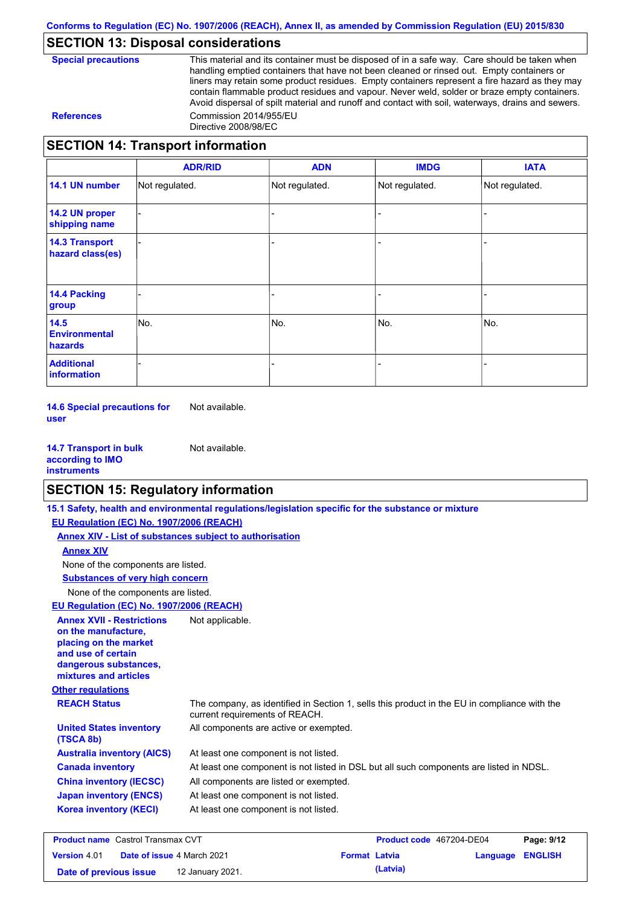## **SECTION 13: Disposal considerations**

**Special precautions** This material and its container must be disposed of in a safe way. Care should be taken when handling emptied containers that have not been cleaned or rinsed out. Empty containers or liners may retain some product residues. Empty containers represent a fire hazard as they may contain flammable product residues and vapour. Never weld, solder or braze empty containers. Avoid dispersal of spilt material and runoff and contact with soil, waterways, drains and sewers. **References** Commission 2014/955/EU Directive 2008/98/EC

## **SECTION 14: Transport information**

|                                           | <b>ADR/RID</b> | <b>ADN</b>     | <b>IMDG</b>    | <b>IATA</b>    |
|-------------------------------------------|----------------|----------------|----------------|----------------|
| 14.1 UN number                            | Not regulated. | Not regulated. | Not regulated. | Not regulated. |
| 14.2 UN proper<br>shipping name           |                |                |                |                |
| <b>14.3 Transport</b><br>hazard class(es) |                |                |                |                |
| <b>14.4 Packing</b><br>group              |                |                |                |                |
| 14.5<br><b>Environmental</b><br>hazards   | No.            | No.            | No.            | No.            |
| <b>Additional</b><br>information          |                |                |                |                |

**14.6 Special precautions for user** Not available.

**14.7 Transport in bulk according to IMO instruments** Not available.

## **SECTION 15: Regulatory information**

|                                                                                                                                                          | 15.1 Safety, health and environmental regulations/legislation specific for the substance or mixture                            |                                 |                 |
|----------------------------------------------------------------------------------------------------------------------------------------------------------|--------------------------------------------------------------------------------------------------------------------------------|---------------------------------|-----------------|
| EU Regulation (EC) No. 1907/2006 (REACH)                                                                                                                 |                                                                                                                                |                                 |                 |
| Annex XIV - List of substances subject to authorisation                                                                                                  |                                                                                                                                |                                 |                 |
| <b>Annex XIV</b>                                                                                                                                         |                                                                                                                                |                                 |                 |
| None of the components are listed.                                                                                                                       |                                                                                                                                |                                 |                 |
| <b>Substances of very high concern</b>                                                                                                                   |                                                                                                                                |                                 |                 |
| None of the components are listed.                                                                                                                       |                                                                                                                                |                                 |                 |
| EU Regulation (EC) No. 1907/2006 (REACH)                                                                                                                 |                                                                                                                                |                                 |                 |
| <b>Annex XVII - Restrictions</b><br>on the manufacture.<br>placing on the market<br>and use of certain<br>dangerous substances,<br>mixtures and articles | Not applicable.                                                                                                                |                                 |                 |
| <b>Other regulations</b>                                                                                                                                 |                                                                                                                                |                                 |                 |
| <b>REACH Status</b>                                                                                                                                      | The company, as identified in Section 1, sells this product in the EU in compliance with the<br>current requirements of REACH. |                                 |                 |
| <b>United States inventory</b><br>(TSCA 8b)                                                                                                              | All components are active or exempted.                                                                                         |                                 |                 |
| <b>Australia inventory (AICS)</b>                                                                                                                        | At least one component is not listed.                                                                                          |                                 |                 |
| <b>Canada inventory</b>                                                                                                                                  | At least one component is not listed in DSL but all such components are listed in NDSL.                                        |                                 |                 |
| <b>China inventory (IECSC)</b>                                                                                                                           | All components are listed or exempted.                                                                                         |                                 |                 |
| <b>Japan inventory (ENCS)</b>                                                                                                                            | At least one component is not listed.                                                                                          |                                 |                 |
| <b>Korea inventory (KECI)</b>                                                                                                                            | At least one component is not listed.                                                                                          |                                 |                 |
| <b>Broduct name</b> Castrol Transmay CVT                                                                                                                 |                                                                                                                                | <b>Droduct code</b> 467204 DE04 | $D2Q2$ , $Q/42$ |

| <b>Product name</b> Castrol Transmax CVT                                         |  |  | Product code 467204-DE04 | Page: 9/12 |  |
|----------------------------------------------------------------------------------|--|--|--------------------------|------------|--|
| <b>Version 4.01</b><br><b>Date of issue 4 March 2021</b><br><b>Format Latvia</b> |  |  | <b>Language ENGLISH</b>  |            |  |
| Date of previous issue<br>12 January 2021.                                       |  |  | (Latvia)                 |            |  |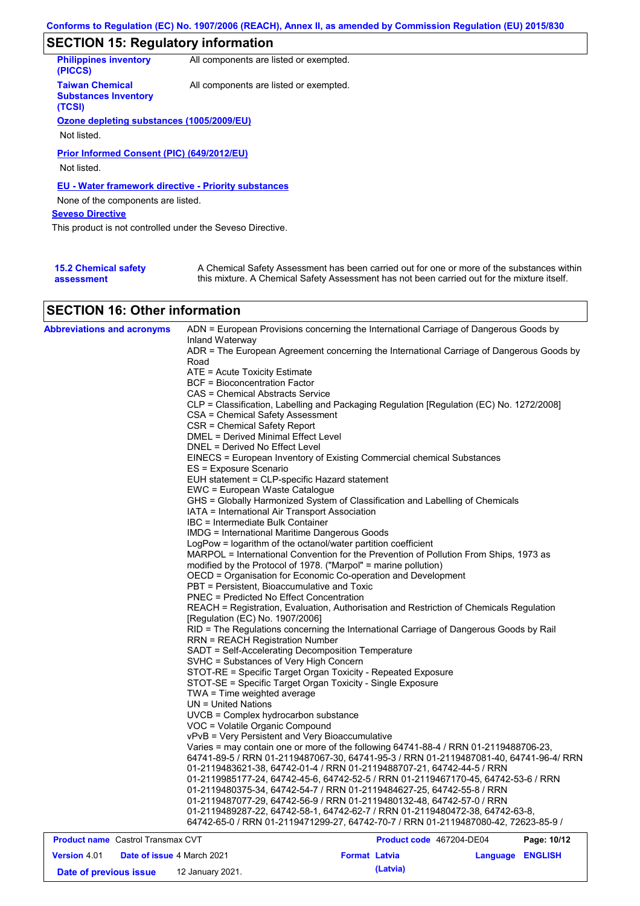## **SECTION 15: Regulatory information**

| <b>Philippines inventory</b><br>(PICCS)                         | All components are listed or exempted. |
|-----------------------------------------------------------------|----------------------------------------|
| <b>Taiwan Chemical</b><br><b>Substances Inventory</b><br>(TCSI) | All components are listed or exempted. |
| Ozone depleting substances (1005/2009/EU)                       |                                        |
|                                                                 |                                        |
| Not listed.                                                     |                                        |
| Prior Informed Consent (PIC) (649/2012/EU)<br>Not listed.       |                                        |
| EU - Water framework directive - Priority substances            |                                        |
| None of the components are listed.                              |                                        |
| <b>Seveso Directive</b>                                         |                                        |
| This product is not controlled under the Seveso Directive.      |                                        |
|                                                                 |                                        |
|                                                                 |                                        |

| <b>15.2 Chemical safety</b> | A Chemical Safety Assessment has been carried out for one or more of the substances within  |
|-----------------------------|---------------------------------------------------------------------------------------------|
| assessment                  | this mixture. A Chemical Safety Assessment has not been carried out for the mixture itself. |

## **SECTION 16: Other information**

| <b>Abbreviations and acronyms</b>        | ADN = European Provisions concerning the International Carriage of Dangerous Goods by<br>Inland Waterway |
|------------------------------------------|----------------------------------------------------------------------------------------------------------|
|                                          | ADR = The European Agreement concerning the International Carriage of Dangerous Goods by<br>Road         |
|                                          | $ATE = Acute Toxicity Estimate$                                                                          |
|                                          | BCF = Bioconcentration Factor                                                                            |
|                                          | CAS = Chemical Abstracts Service                                                                         |
|                                          | CLP = Classification, Labelling and Packaging Regulation [Regulation (EC) No. 1272/2008]                 |
|                                          | CSA = Chemical Safety Assessment<br>CSR = Chemical Safety Report                                         |
|                                          | DMEL = Derived Minimal Effect Level                                                                      |
|                                          | DNEL = Derived No Effect Level                                                                           |
|                                          | EINECS = European Inventory of Existing Commercial chemical Substances                                   |
|                                          | ES = Exposure Scenario                                                                                   |
|                                          | EUH statement = CLP-specific Hazard statement                                                            |
|                                          | EWC = European Waste Catalogue                                                                           |
|                                          | GHS = Globally Harmonized System of Classification and Labelling of Chemicals                            |
|                                          | IATA = International Air Transport Association                                                           |
|                                          | IBC = Intermediate Bulk Container                                                                        |
|                                          | <b>IMDG = International Maritime Dangerous Goods</b>                                                     |
|                                          | LogPow = logarithm of the octanol/water partition coefficient                                            |
|                                          | MARPOL = International Convention for the Prevention of Pollution From Ships, 1973 as                    |
|                                          | modified by the Protocol of 1978. ("Marpol" = marine pollution)                                          |
|                                          | OECD = Organisation for Economic Co-operation and Development                                            |
|                                          | PBT = Persistent, Bioaccumulative and Toxic                                                              |
|                                          | <b>PNEC = Predicted No Effect Concentration</b>                                                          |
|                                          | REACH = Registration, Evaluation, Authorisation and Restriction of Chemicals Regulation                  |
|                                          | [Regulation (EC) No. 1907/2006]                                                                          |
|                                          | RID = The Regulations concerning the International Carriage of Dangerous Goods by Rail                   |
|                                          | <b>RRN = REACH Registration Number</b>                                                                   |
|                                          | SADT = Self-Accelerating Decomposition Temperature                                                       |
|                                          | SVHC = Substances of Very High Concern                                                                   |
|                                          | STOT-RE = Specific Target Organ Toxicity - Repeated Exposure                                             |
|                                          | STOT-SE = Specific Target Organ Toxicity - Single Exposure                                               |
|                                          | TWA = Time weighted average                                                                              |
|                                          | UN = United Nations                                                                                      |
|                                          | UVCB = Complex hydrocarbon substance                                                                     |
|                                          | VOC = Volatile Organic Compound                                                                          |
|                                          | vPvB = Very Persistent and Very Bioaccumulative                                                          |
|                                          | Varies = may contain one or more of the following 64741-88-4 / RRN 01-2119488706-23,                     |
|                                          | 64741-89-5 / RRN 01-2119487067-30, 64741-95-3 / RRN 01-2119487081-40, 64741-96-4/ RRN                    |
|                                          | 01-2119483621-38, 64742-01-4 / RRN 01-2119488707-21, 64742-44-5 / RRN                                    |
|                                          | 01-2119985177-24, 64742-45-6, 64742-52-5 / RRN 01-2119467170-45, 64742-53-6 / RRN                        |
|                                          | 01-2119480375-34, 64742-54-7 / RRN 01-2119484627-25, 64742-55-8 / RRN                                    |
|                                          | 01-2119487077-29, 64742-56-9 / RRN 01-2119480132-48, 64742-57-0 / RRN                                    |
|                                          | 01-2119489287-22, 64742-58-1, 64742-62-7 / RRN 01-2119480472-38, 64742-63-8,                             |
|                                          | 64742-65-0 / RRN 01-2119471299-27, 64742-70-7 / RRN 01-2119487080-42, 72623-85-9 /                       |
| <b>Product name</b> Castrol Transmax CVT | Product code 467204-DE04<br>Page: 10/12                                                                  |

| <b>FIGURE INCORDING CONTROLLER CONTROLLER</b> |  |                                   | <b>FIGURE COUP 407 ZU4-DEU4</b> |          | <b>Faut.</b> 1974 |  |
|-----------------------------------------------|--|-----------------------------------|---------------------------------|----------|-------------------|--|
| <b>Version 4.01</b>                           |  | <b>Date of issue 4 March 2021</b> | <b>Format Latvia</b>            |          | Language ENGLISH  |  |
| Date of previous issue                        |  | 12 January 2021.                  |                                 | (Latvia) |                   |  |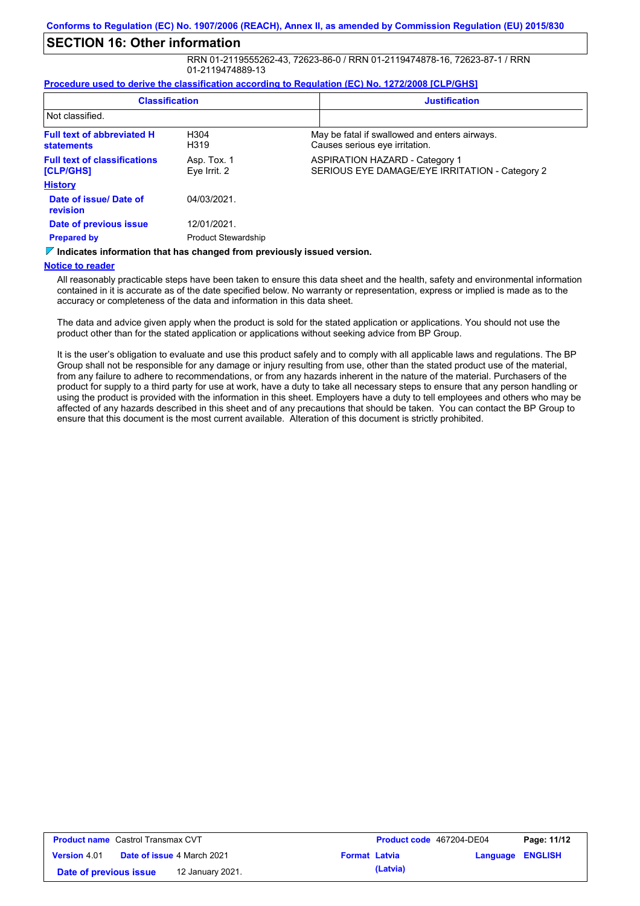## **SECTION 16: Other information**

RRN 01-2119555262-43, 72623-86-0 / RRN 01-2119474878-16, 72623-87-1 / RRN 01-2119474889-13

#### **Procedure used to derive the classification according to Regulation (EC) No. 1272/2008 [CLP/GHS]**

| <b>Classification</b>                                                                                      |                             | <b>Justification</b> |                                                                                         |
|------------------------------------------------------------------------------------------------------------|-----------------------------|----------------------|-----------------------------------------------------------------------------------------|
| Not classified.                                                                                            |                             |                      |                                                                                         |
| <b>Full text of abbreviated H</b><br><b>statements</b>                                                     | H <sub>304</sub><br>H319    |                      | May be fatal if swallowed and enters airways.<br>Causes serious eye irritation.         |
| <b>Full text of classifications</b><br>[CLP/GHS]                                                           | Asp. Tox. 1<br>Eye Irrit. 2 |                      | <b>ASPIRATION HAZARD - Category 1</b><br>SERIOUS EYE DAMAGE/EYE IRRITATION - Category 2 |
| <b>History</b>                                                                                             |                             |                      |                                                                                         |
| Date of issue/Date of<br>revision                                                                          | 04/03/2021.                 |                      |                                                                                         |
| Date of previous issue                                                                                     | 12/01/2021.                 |                      |                                                                                         |
| <b>Prepared by</b>                                                                                         | <b>Product Stewardship</b>  |                      |                                                                                         |
| Villa di antara in famoretta netta di lancia la consola di fuenzo muscola con lo incorpo di considerazione |                             |                      |                                                                                         |

**Indicates information that has changed from previously issued version.**

#### **Notice to reader**

All reasonably practicable steps have been taken to ensure this data sheet and the health, safety and environmental information contained in it is accurate as of the date specified below. No warranty or representation, express or implied is made as to the accuracy or completeness of the data and information in this data sheet.

The data and advice given apply when the product is sold for the stated application or applications. You should not use the product other than for the stated application or applications without seeking advice from BP Group.

It is the user's obligation to evaluate and use this product safely and to comply with all applicable laws and regulations. The BP Group shall not be responsible for any damage or injury resulting from use, other than the stated product use of the material, from any failure to adhere to recommendations, or from any hazards inherent in the nature of the material. Purchasers of the product for supply to a third party for use at work, have a duty to take all necessary steps to ensure that any person handling or using the product is provided with the information in this sheet. Employers have a duty to tell employees and others who may be affected of any hazards described in this sheet and of any precautions that should be taken. You can contact the BP Group to ensure that this document is the most current available. Alteration of this document is strictly prohibited.

| <b>Product name</b> Castrol Transmax CVT |  |                                   | Product code 467204-DE04 |          | Page: 11/12             |  |
|------------------------------------------|--|-----------------------------------|--------------------------|----------|-------------------------|--|
| <b>Version 4.01</b>                      |  | <b>Date of issue 4 March 2021</b> | <b>Format Latvia</b>     |          | <b>Language ENGLISH</b> |  |
| Date of previous issue                   |  | 12 January 2021.                  |                          | (Latvia) |                         |  |